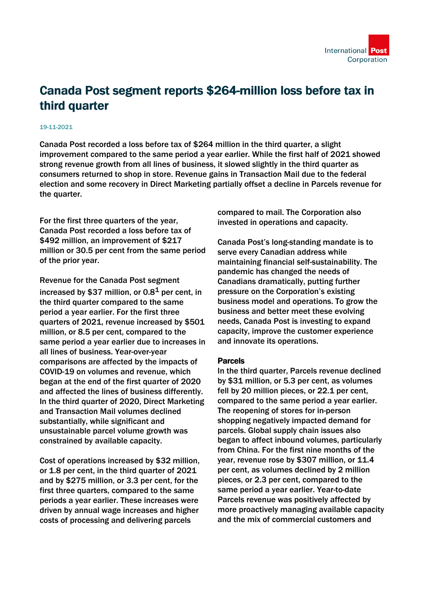

# Canada Post segment reports \$264-million loss before tax in third quarter

#### 19-11-2021

Canada Post recorded a loss before tax of \$264 million in the third quarter, a slight improvement compared to the same period a year earlier. While the first half of 2021 showed strong revenue growth from all lines of business, it slowed slightly in the third quarter as consumers returned to shop in store. Revenue gains in Transaction Mail due to the federal election and some recovery in Direct Marketing partially offset a decline in Parcels revenue for the quarter.

For the first three quarters of the year, Canada Post recorded a loss before tax of \$492 million, an improvement of \$217 million or 30.5 per cent from the same period of the prior year.

Revenue for the Canada Post segment increased by \$37 million, or  $0.8<sup>1</sup>$  per cent, in the third quarter compared to the same period a year earlier. For the first three quarters of 2021, revenue increased by \$501 million, or 8.5 per cent, compared to the same period a year earlier due to increases in all lines of business. Year-over-year comparisons are affected by the impacts of COVID-19 on volumes and revenue, which began at the end of the first quarter of 2020 and affected the lines of business differently. In the third quarter of 2020, Direct Marketing and Transaction Mail volumes declined substantially, while significant and unsustainable parcel volume growth was constrained by available capacity.

Cost of operations increased by \$32 million, or 1.8 per cent, in the third quarter of 2021 and by \$275 million, or 3.3 per cent, for the first three quarters, compared to the same periods a year earlier. These increases were driven by annual wage increases and higher costs of processing and delivering parcels

compared to mail. The Corporation also invested in operations and capacity.

Canada Post's long-standing mandate is to serve every Canadian address while maintaining financial self-sustainability. The pandemic has changed the needs of Canadians dramatically, putting further pressure on the Corporation's existing business model and operations. To grow the business and better meet these evolving needs, Canada Post is investing to expand capacity, improve the customer experience and innovate its operations.

#### Parcels

In the third quarter, Parcels revenue declined by \$31 million, or 5.3 per cent, as volumes fell by 20 million pieces, or 22.1 per cent, compared to the same period a year earlier. The reopening of stores for in-person shopping negatively impacted demand for parcels. Global supply chain issues also began to affect inbound volumes, particularly from China. For the first nine months of the year, revenue rose by \$307 million, or 11.4 per cent, as volumes declined by 2 million pieces, or 2.3 per cent, compared to the same period a year earlier. Year-to-date Parcels revenue was positively affected by more proactively managing available capacity and the mix of commercial customers and